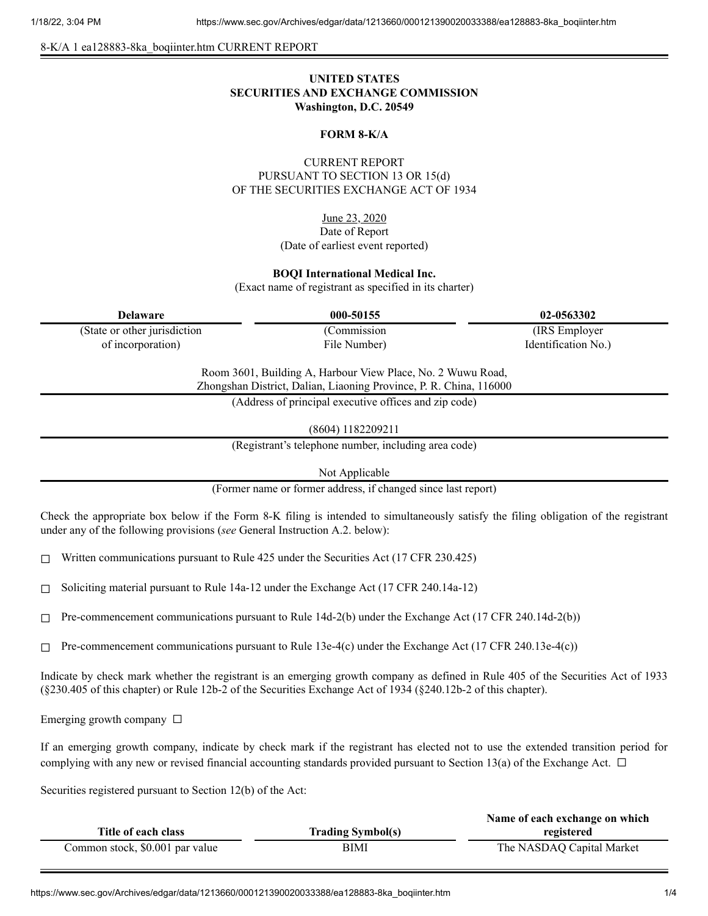8-K/A 1 ea128883-8ka\_boqiinter.htm CURRENT REPORT

# **UNITED STATES SECURITIES AND EXCHANGE COMMISSION Washington, D.C. 20549**

### **FORM 8-K/A**

## CURRENT REPORT PURSUANT TO SECTION 13 OR 15(d) OF THE SECURITIES EXCHANGE ACT OF 1934

June 23, 2020 Date of Report (Date of earliest event reported)

#### **BOQI International Medical Inc.**

(Exact name of registrant as specified in its charter)

| <b>Delaware</b>               | 000-50155                                                   | 02-0563302          |
|-------------------------------|-------------------------------------------------------------|---------------------|
| (State or other jurisdiction) | (Commission)                                                | (IRS Employer)      |
| of incorporation)             | File Number)                                                | Identification No.) |
|                               | Room 3601, Building A, Harbour View Place, No. 2 Wuwu Road, |                     |

Zhongshan District, Dalian, Liaoning Province, P. R. China, 116000

(Address of principal executive offices and zip code)

(8604) 1182209211

(Registrant's telephone number, including area code)

Not Applicable

(Former name or former address, if changed since last report)

Check the appropriate box below if the Form 8-K filing is intended to simultaneously satisfy the filing obligation of the registrant under any of the following provisions (*see* General Instruction A.2. below):

☐ Written communications pursuant to Rule 425 under the Securities Act (17 CFR 230.425)

 $\Box$  Soliciting material pursuant to Rule 14a-12 under the Exchange Act (17 CFR 240.14a-12)

 $\Box$  Pre-commencement communications pursuant to Rule 14d-2(b) under the Exchange Act (17 CFR 240.14d-2(b))

 $\Box$  Pre-commencement communications pursuant to Rule 13e-4(c) under the Exchange Act (17 CFR 240.13e-4(c))

Indicate by check mark whether the registrant is an emerging growth company as defined in Rule 405 of the Securities Act of 1933 (§230.405 of this chapter) or Rule 12b-2 of the Securities Exchange Act of 1934 (§240.12b-2 of this chapter).

Emerging growth company  $\Box$ 

If an emerging growth company, indicate by check mark if the registrant has elected not to use the extended transition period for complying with any new or revised financial accounting standards provided pursuant to Section 13(a) of the Exchange Act.  $\Box$ 

Securities registered pursuant to Section 12(b) of the Act:

|                                 |                          | Name of each exchange on which |
|---------------------------------|--------------------------|--------------------------------|
| Title of each class             | <b>Trading Symbol(s)</b> | registered                     |
| Common stock, \$0.001 par value | BIMI                     | The NASDAQ Capital Market      |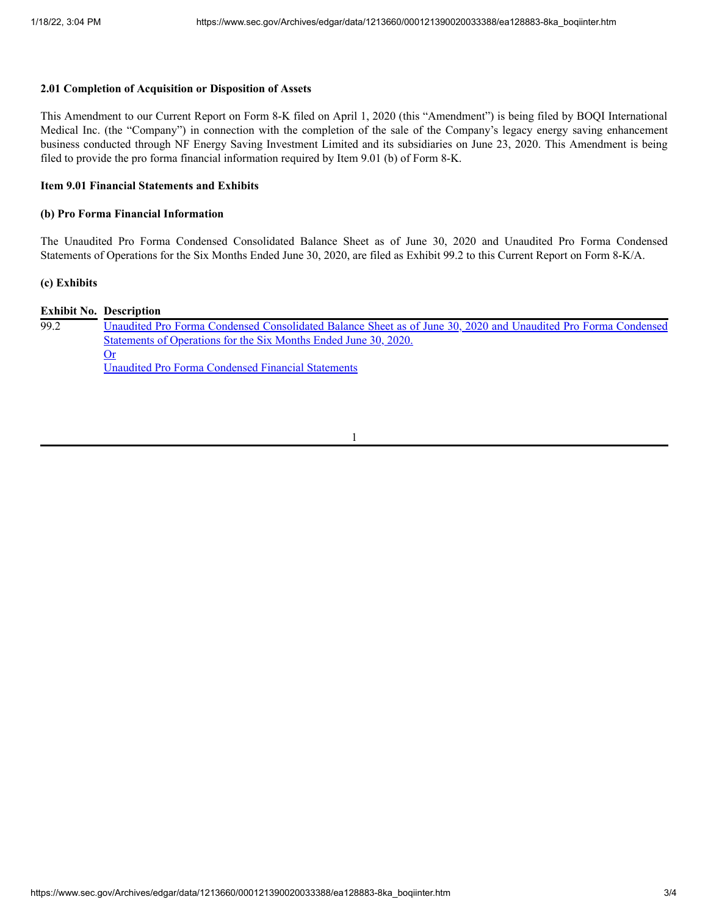### **2.01 Completion of Acquisition or Disposition of Assets**

This Amendment to our Current Report on Form 8-K filed on April 1, 2020 (this "Amendment") is being filed by BOQI International Medical Inc. (the "Company") in connection with the completion of the sale of the Company's legacy energy saving enhancement business conducted through NF Energy Saving Investment Limited and its subsidiaries on June 23, 2020. This Amendment is being filed to provide the pro forma financial information required by Item 9.01 (b) of Form 8-K.

### **Item 9.01 Financial Statements and Exhibits**

### **(b) Pro Forma Financial Information**

The Unaudited Pro Forma Condensed Consolidated Balance Sheet as of June 30, 2020 and Unaudited Pro Forma Condensed Statements of Operations for the Six Months Ended June 30, 2020, are filed as Exhibit 99.2 to this Current Report on Form 8-K/A.

### **(c) Exhibits**

|      | <b>Exhibit No. Description</b>                                                                                 |
|------|----------------------------------------------------------------------------------------------------------------|
| 99.2 | Unaudited Pro Forma Condensed Consolidated Balance Sheet as of June 30, 2020 and Unaudited Pro Forma Condensed |
|      | Statements of Operations for the Six Months Ended June 30, 2020.                                               |
|      | Or                                                                                                             |
|      | Unaudited Pro Forma Condensed Financial Statements                                                             |

#### 1